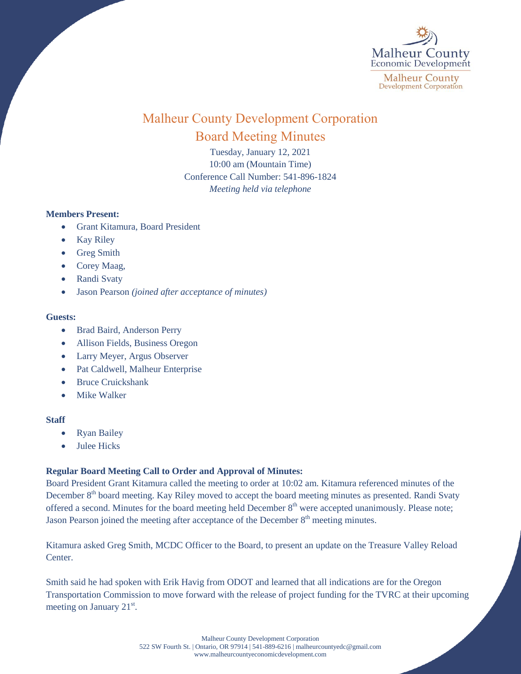

# Malheur County Development Corporation Board Meeting Minutes

Tuesday, January 12, 2021 10:00 am (Mountain Time) Conference Call Number: 541-896-1824 *Meeting held via telephone*

# **Members Present:**

- Grant Kitamura, Board President
- Kay Riley
- Greg Smith
- Corey Maag,
- Randi Svaty
- Jason Pearson *(joined after acceptance of minutes)*

### **Guests:**

- Brad Baird, Anderson Perry
- Allison Fields, Business Oregon
- Larry Meyer, Argus Observer
- Pat Caldwell, Malheur Enterprise
- Bruce Cruickshank
- Mike Walker

# **Staff**

- Ryan Bailey
- Julee Hicks

# **Regular Board Meeting Call to Order and Approval of Minutes:**

Board President Grant Kitamura called the meeting to order at 10:02 am. Kitamura referenced minutes of the December 8<sup>th</sup> board meeting. Kay Riley moved to accept the board meeting minutes as presented. Randi Svaty offered a second. Minutes for the board meeting held December  $8<sup>th</sup>$  were accepted unanimously. Please note; Jason Pearson joined the meeting after acceptance of the December 8<sup>th</sup> meeting minutes.

Kitamura asked Greg Smith, MCDC Officer to the Board, to present an update on the Treasure Valley Reload Center.

Smith said he had spoken with Erik Havig from ODOT and learned that all indications are for the Oregon Transportation Commission to move forward with the release of project funding for the TVRC at their upcoming meeting on January  $21<sup>st</sup>$ .